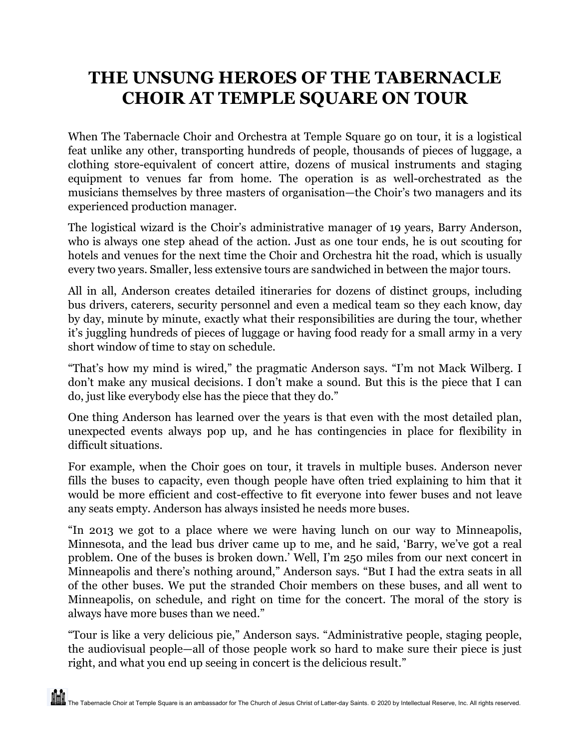## **THE UNSUNG HEROES OF THE TABERNACLE CHOIR AT TEMPLE SQUARE ON TOUR**

When The Tabernacle Choir and Orchestra at Temple Square go on tour, it is a logistical feat unlike any other, transporting hundreds of people, thousands of pieces of luggage, a clothing store-equivalent of concert attire, dozens of musical instruments and staging equipment to venues far from home. The operation is as well-orchestrated as the musicians themselves by three masters of organisation—the Choir's two managers and its experienced production manager.

The logistical wizard is the Choir's administrative manager of 19 years, Barry Anderson, who is always one step ahead of the action. Just as one tour ends, he is out scouting for hotels and venues for the next time the Choir and Orchestra hit the road, which is usually every two years. Smaller, less extensive tours are sandwiched in between the major tours.

All in all, Anderson creates detailed itineraries for dozens of distinct groups, including bus drivers, caterers, security personnel and even a medical team so they each know, day by day, minute by minute, exactly what their responsibilities are during the tour, whether it's juggling hundreds of pieces of luggage or having food ready for a small army in a very short window of time to stay on schedule.

"That's how my mind is wired," the pragmatic Anderson says. "I'm not Mack Wilberg. I don't make any musical decisions. I don't make a sound. But this is the piece that I can do, just like everybody else has the piece that they do."

One thing Anderson has learned over the years is that even with the most detailed plan, unexpected events always pop up, and he has contingencies in place for flexibility in difficult situations.

For example, when the Choir goes on tour, it travels in multiple buses. Anderson never fills the buses to capacity, even though people have often tried explaining to him that it would be more efficient and cost-effective to fit everyone into fewer buses and not leave any seats empty. Anderson has always insisted he needs more buses.

"In 2013 we got to a place where we were having lunch on our way to Minneapolis, Minnesota, and the lead bus driver came up to me, and he said, 'Barry, we've got a real problem. One of the buses is broken down.' Well, I'm 250 miles from our next concert in Minneapolis and there's nothing around," Anderson says. "But I had the extra seats in all of the other buses. We put the stranded Choir members on these buses, and all went to Minneapolis, on schedule, and right on time for the concert. The moral of the story is always have more buses than we need."

"Tour is like a very delicious pie," Anderson says. "Administrative people, staging people, the audiovisual people—all of those people work so hard to make sure their piece is just right, and what you end up seeing in concert is the delicious result."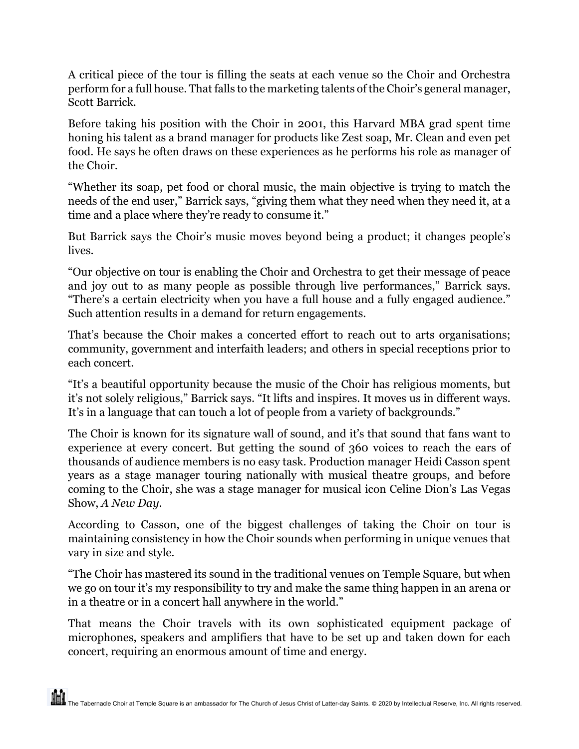A critical piece of the tour is filling the seats at each venue so the Choir and Orchestra perform for a full house. That falls to the marketing talents of the Choir's general manager, Scott Barrick.

Before taking his position with the Choir in 2001, this Harvard MBA grad spent time honing his talent as a brand manager for products like Zest soap, Mr. Clean and even pet food. He says he often draws on these experiences as he performs his role as manager of the Choir.

"Whether its soap, pet food or choral music, the main objective is trying to match the needs of the end user," Barrick says, "giving them what they need when they need it, at a time and a place where they're ready to consume it."

But Barrick says the Choir's music moves beyond being a product; it changes people's lives.

"Our objective on tour is enabling the Choir and Orchestra to get their message of peace and joy out to as many people as possible through live performances," Barrick says. "There's a certain electricity when you have a full house and a fully engaged audience." Such attention results in a demand for return engagements.

That's because the Choir makes a concerted effort to reach out to arts organisations; community, government and interfaith leaders; and others in special receptions prior to each concert.

"It's a beautiful opportunity because the music of the Choir has religious moments, but it's not solely religious," Barrick says. "It lifts and inspires. It moves us in different ways. It's in a language that can touch a lot of people from a variety of backgrounds."

The Choir is known for its signature wall of sound, and it's that sound that fans want to experience at every concert. But getting the sound of 360 voices to reach the ears of thousands of audience members is no easy task. Production manager Heidi Casson spent years as a stage manager touring nationally with musical theatre groups, and before coming to the Choir, she was a stage manager for musical icon Celine Dion's Las Vegas Show, *A New Day*.

According to Casson, one of the biggest challenges of taking the Choir on tour is maintaining consistency in how the Choir sounds when performing in unique venues that vary in size and style.

"The Choir has mastered its sound in the traditional venues on Temple Square, but when we go on tour it's my responsibility to try and make the same thing happen in an arena or in a theatre or in a concert hall anywhere in the world."

That means the Choir travels with its own sophisticated equipment package of microphones, speakers and amplifiers that have to be set up and taken down for each concert, requiring an enormous amount of time and energy.